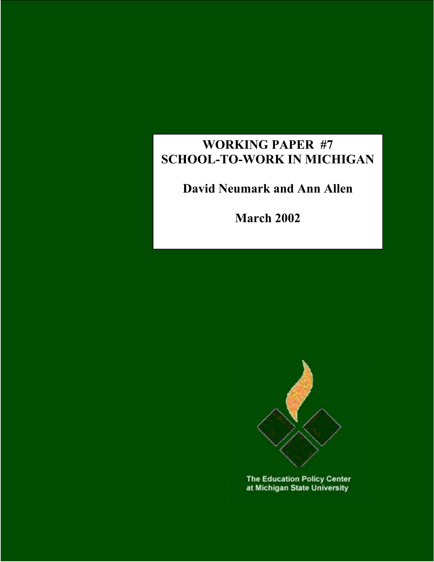# **WORKING PAPER #7 SCHOOL-TO-WORK IN MICHIGAN**

# **David Neumark and Ann Allen**

**March 2002** 



**The Education Policy Center** at Michigan State University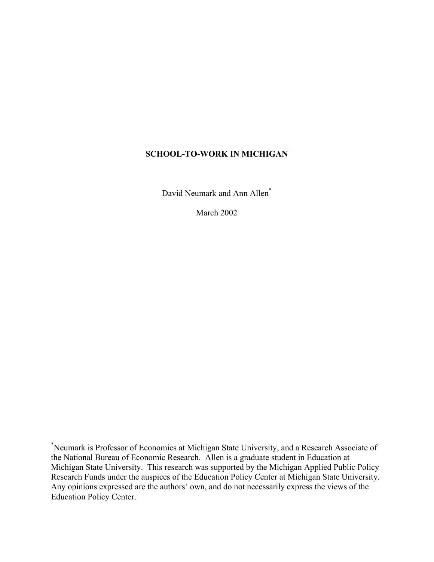# **SCHOOL-TO-WORK IN MICHIGAN**

David Neumark and Ann Allen<sup>\*</sup>

March 2002

\* Neumark is Professor of Economics at Michigan State University, and a Research Associate of the National Bureau of Economic Research. Allen is a graduate student in Education at Michigan State University. This research was supported by the Michigan Applied Public Policy Research Funds under the auspices of the Education Policy Center at Michigan State University. Any opinions expressed are the authors' own, and do not necessarily express the views of the Education Policy Center.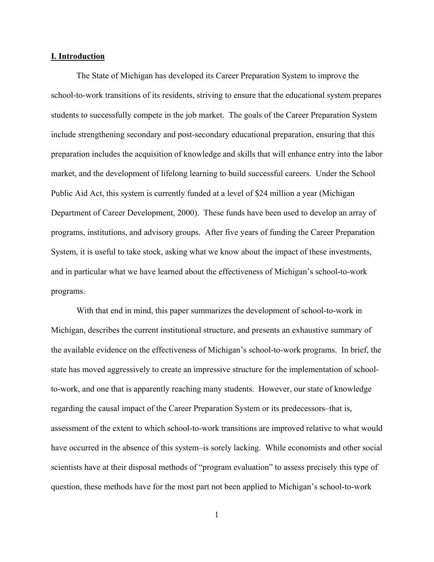#### **I. Introduction**

The State of Michigan has developed its Career Preparation System to improve the school-to-work transitions of its residents, striving to ensure that the educational system prepares students to successfully compete in the job market. The goals of the Career Preparation System include strengthening secondary and post-secondary educational preparation, ensuring that this preparation includes the acquisition of knowledge and skills that will enhance entry into the labor market, and the development of lifelong learning to build successful careers. Under the School Public Aid Act, this system is currently funded at a level of \$24 million a year (Michigan Department of Career Development, 2000). These funds have been used to develop an array of programs, institutions, and advisory groups. After five years of funding the Career Preparation System, it is useful to take stock, asking what we know about the impact of these investments, and in particular what we have learned about the effectiveness of Michigan's school-to-work programs.

With that end in mind, this paper summarizes the development of school-to-work in Michigan, describes the current institutional structure, and presents an exhaustive summary of the available evidence on the effectiveness of Michigan's school-to-work programs. In brief, the state has moved aggressively to create an impressive structure for the implementation of schoolto-work, and one that is apparently reaching many students. However, our state of knowledge regarding the causal impact of the Career Preparation System or its predecessors–that is, assessment of the extent to which school-to-work transitions are improved relative to what would have occurred in the absence of this system–is sorely lacking. While economists and other social scientists have at their disposal methods of "program evaluation" to assess precisely this type of question, these methods have for the most part not been applied to Michigan's school-to-work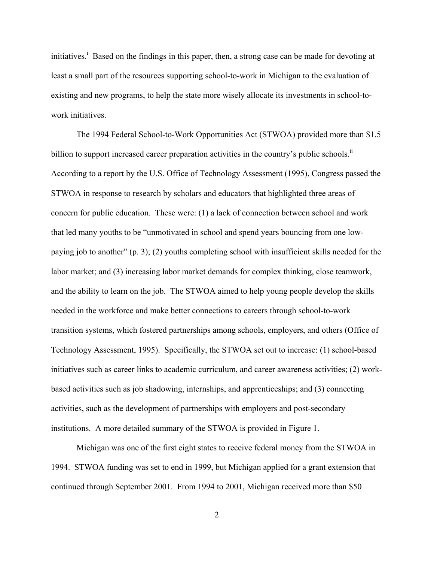initiatives.<sup>i</sup> Based on the findings in this paper, then, a strong case can be made for devoting at least a small part of the resources supporting school-to-work in Michigan to the evaluation of existing and new programs, to help the state more wisely allocate its investments in school-towork initiatives.

The 1994 Federal School-to-Work Opportunities Act (STWOA) provided more than \$1.5 billion to support increased career preparation activities in the country's public schools.<sup>[ii](#page-44-1)</sup> According to a report by the U.S. Office of Technology Assessment (1995), Congress passed the STWOA in response to research by scholars and educators that highlighted three areas of concern for public education. These were: (1) a lack of connection between school and work that led many youths to be "unmotivated in school and spend years bouncing from one lowpaying job to another" (p. 3); (2) youths completing school with insufficient skills needed for the labor market; and (3) increasing labor market demands for complex thinking, close teamwork, and the ability to learn on the job. The STWOA aimed to help young people develop the skills needed in the workforce and make better connections to careers through school-to-work transition systems, which fostered partnerships among schools, employers, and others (Office of Technology Assessment, 1995). Specifically, the STWOA set out to increase: (1) school-based initiatives such as career links to academic curriculum, and career awareness activities; (2) workbased activities such as job shadowing, internships, and apprenticeships; and (3) connecting activities, such as the development of partnerships with employers and post-secondary institutions. A more detailed summary of the STWOA is provided in Figure 1.

Michigan was one of the first eight states to receive federal money from the STWOA in 1994. STWOA funding was set to end in 1999, but Michigan applied for a grant extension that continued through September 2001. From 1994 to 2001, Michigan received more than \$50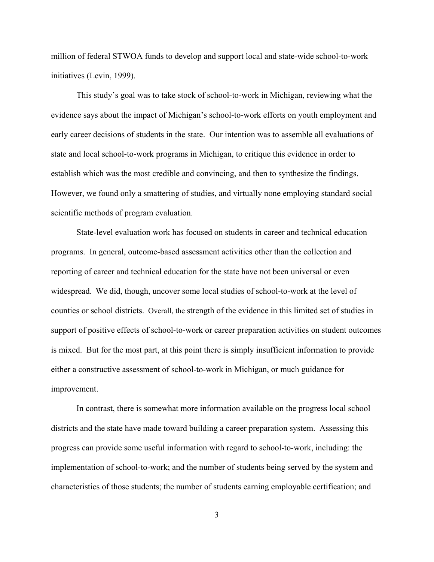million of federal STWOA funds to develop and support local and state-wide school-to-work initiatives (Levin, 1999).

This study's goal was to take stock of school-to-work in Michigan, reviewing what the evidence says about the impact of Michigan's school-to-work efforts on youth employment and early career decisions of students in the state. Our intention was to assemble all evaluations of state and local school-to-work programs in Michigan, to critique this evidence in order to establish which was the most credible and convincing, and then to synthesize the findings. However, we found only a smattering of studies, and virtually none employing standard social scientific methods of program evaluation.

State-level evaluation work has focused on students in career and technical education programs. In general, outcome-based assessment activities other than the collection and reporting of career and technical education for the state have not been universal or even widespread. We did, though, uncover some local studies of school-to-work at the level of counties or school districts. Overall, the strength of the evidence in this limited set of studies in support of positive effects of school-to-work or career preparation activities on student outcomes is mixed. But for the most part, at this point there is simply insufficient information to provide either a constructive assessment of school-to-work in Michigan, or much guidance for improvement.

In contrast, there is somewhat more information available on the progress local school districts and the state have made toward building a career preparation system. Assessing this progress can provide some useful information with regard to school-to-work, including: the implementation of school-to-work; and the number of students being served by the system and characteristics of those students; the number of students earning employable certification; and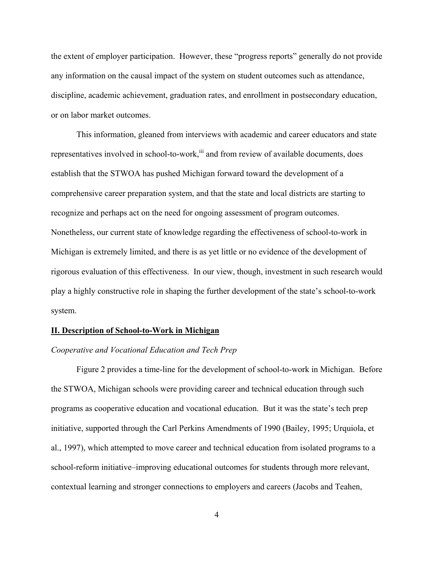the extent of employer participation. However, these "progress reports" generally do not provide any information on the causal impact of the system on student outcomes such as attendance, discipline, academic achievement, graduation rates, and enrollment in postsecondary education, or on labor market outcomes.

This information, gleaned from interviews with academic and career educators and state representatives involved in school-to-work, [iii](#page-44-2) and from review of available documents, does establish that the STWOA has pushed Michigan forward toward the development of a comprehensive career preparation system, and that the state and local districts are starting to recognize and perhaps act on the need for ongoing assessment of program outcomes. Nonetheless, our current state of knowledge regarding the effectiveness of school-to-work in Michigan is extremely limited, and there is as yet little or no evidence of the development of rigorous evaluation of this effectiveness. In our view, though, investment in such research would play a highly constructive role in shaping the further development of the state's school-to-work system.

#### **II. Description of School-to-Work in Michigan**

# *Cooperative and Vocational Education and Tech Prep*

Figure 2 provides a time-line for the development of school-to-work in Michigan. Before the STWOA, Michigan schools were providing career and technical education through such programs as cooperative education and vocational education. But it was the state's tech prep initiative, supported through the Carl Perkins Amendments of 1990 (Bailey, 1995; Urquiola, et al., 1997), which attempted to move career and technical education from isolated programs to a school-reform initiative–improving educational outcomes for students through more relevant, contextual learning and stronger connections to employers and careers (Jacobs and Teahen,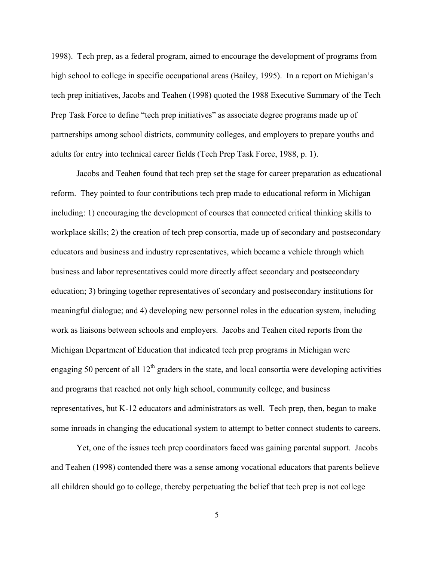1998). Tech prep, as a federal program, aimed to encourage the development of programs from high school to college in specific occupational areas (Bailey, 1995). In a report on Michigan's tech prep initiatives, Jacobs and Teahen (1998) quoted the 1988 Executive Summary of the Tech Prep Task Force to define "tech prep initiatives" as associate degree programs made up of partnerships among school districts, community colleges, and employers to prepare youths and adults for entry into technical career fields (Tech Prep Task Force, 1988, p. 1).

Jacobs and Teahen found that tech prep set the stage for career preparation as educational reform. They pointed to four contributions tech prep made to educational reform in Michigan including: 1) encouraging the development of courses that connected critical thinking skills to workplace skills; 2) the creation of tech prep consortia, made up of secondary and postsecondary educators and business and industry representatives, which became a vehicle through which business and labor representatives could more directly affect secondary and postsecondary education; 3) bringing together representatives of secondary and postsecondary institutions for meaningful dialogue; and 4) developing new personnel roles in the education system, including work as liaisons between schools and employers. Jacobs and Teahen cited reports from the Michigan Department of Education that indicated tech prep programs in Michigan were engaging 50 percent of all  $12<sup>th</sup>$  graders in the state, and local consortia were developing activities and programs that reached not only high school, community college, and business representatives, but K-12 educators and administrators as well. Tech prep, then, began to make some inroads in changing the educational system to attempt to better connect students to careers.

Yet, one of the issues tech prep coordinators faced was gaining parental support. Jacobs and Teahen (1998) contended there was a sense among vocational educators that parents believe all children should go to college, thereby perpetuating the belief that tech prep is not college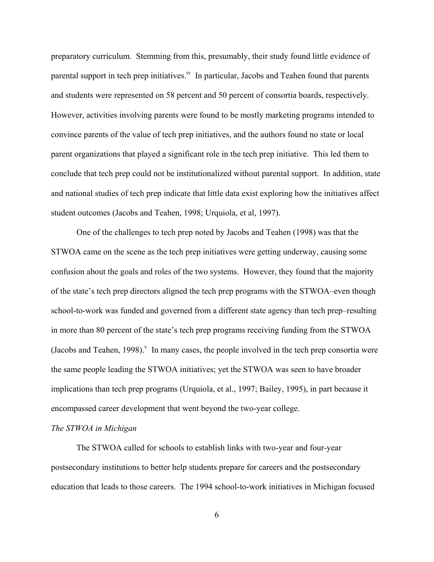preparatory curriculum. Stemming from this, presumably, their study found little evidence of parental support in tech prep initiatives.<sup>iv</sup> In particular, Jacobs and Teahen found that parents and students were represented on 58 percent and 50 percent of consortia boards, respectively. However, activities involving parents were found to be mostly marketing programs intended to convince parents of the value of tech prep initiatives, and the authors found no state or local parent organizations that played a significant role in the tech prep initiative. This led them to conclude that tech prep could not be institutionalized without parental support. In addition, state and national studies of tech prep indicate that little data exist exploring how the initiatives affect student outcomes (Jacobs and Teahen, 1998; Urquiola, et al, 1997).

One of the challenges to tech prep noted by Jacobs and Teahen (1998) was that the STWOA came on the scene as the tech prep initiatives were getting underway, causing some confusion about the goals and roles of the two systems. However, they found that the majority of the state's tech prep directors aligned the tech prep programs with the STWOA–even though school-to-work was funded and governed from a different state agency than tech prep–resulting in more than 80 percent of the state's tech prep programs receiving funding from the STWOA (Jacobsand Teahen, 1998).<sup> $V$ </sup> In many cases, the people involved in the tech prep consortia were the same people leading the STWOA initiatives; yet the STWOA was seen to have broader implications than tech prep programs (Urquiola, et al., 1997; Bailey, 1995), in part because it encompassed career development that went beyond the two-year college.

### *The STWOA in Michigan*

The STWOA called for schools to establish links with two-year and four-year postsecondary institutions to better help students prepare for careers and the postsecondary education that leads to those careers. The 1994 school-to-work initiatives in Michigan focused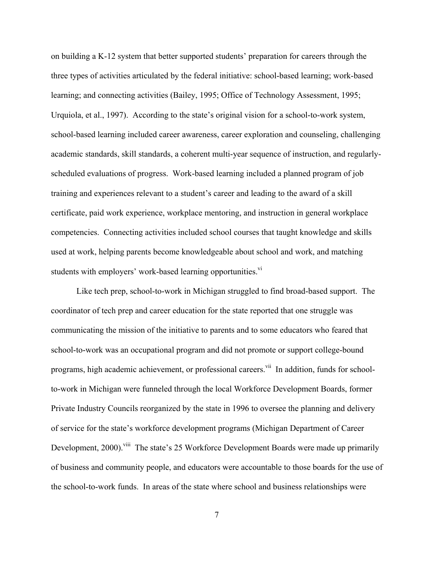on building a K-12 system that better supported students' preparation for careers through the three types of activities articulated by the federal initiative: school-based learning; work-based learning; and connecting activities (Bailey, 1995; Office of Technology Assessment, 1995; Urquiola, et al., 1997). According to the state's original vision for a school-to-work system, school-based learning included career awareness, career exploration and counseling, challenging academic standards, skill standards, a coherent multi-year sequence of instruction, and regularlyscheduled evaluations of progress. Work-based learning included a planned program of job training and experiences relevant to a student's career and leading to the award of a skill certificate, paid work experience, workplace mentoring, and instruction in general workplace competencies. Connecting activities included school courses that taught knowledge and skills used at work, helping parents become knowledgeable about school and work, and matching students with employers' work-based learning opportunities.<sup>[vi](#page-44-5)</sup>

Like tech prep, school-to-work in Michigan struggled to find broad-based support. The coordinator of tech prep and career education for the state reported that one struggle was communicating the mission of the initiative to parents and to some educators who feared that school-to-work was an occupational program and did not promote or support college-bound programs, high academic achievement, or professional careers.<sup>vii</sup> In addition, funds for schoolto-work in Michigan were funneled through the local Workforce Development Boards, former Private Industry Councils reorganized by the state in 1996 to oversee the planning and delivery of service for the state's workforce development programs (Michigan Department of Career Development, 2000).<sup>viii</sup> The state's 25 Workforce Development Boards were made up primarily of business and community people, and educators were accountable to those boards for the use of the school-to-work funds. In areas of the state where school and business relationships were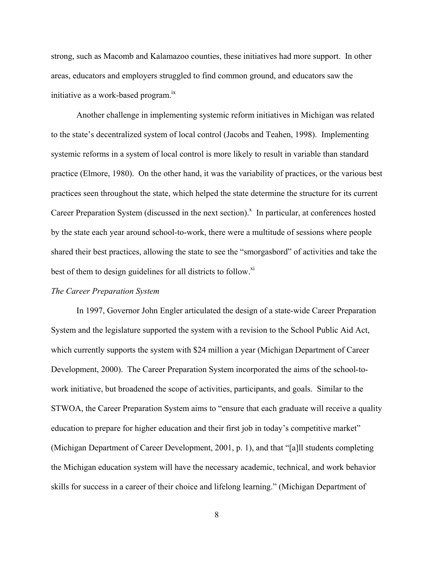strong, such as Macomb and Kalamazoo counties, these initiatives had more support. In other areas, educators and employers struggled to find common ground, and educators saw the initiative as a work-based program.<sup>[ix](#page-44-8)</sup>

Another challenge in implementing systemic reform initiatives in Michigan was related to the state's decentralized system of local control (Jacobs and Teahen, 1998). Implementing systemic reforms in a system of local control is more likely to result in variable than standard practice (Elmore, 1980). On the other hand, it was the variability of practices, or the various best practices seen throughout the state, which helped the state determine the structure for its current Career Preparation System (discussed in the ne[x](#page-44-9)t section). $^x$  In particular, at conferences hosted by the state each year around school-to-work, there were a multitude of sessions where people shared their best practices, allowing the state to see the "smorgasbord" of activities and take the best of them to design guidelines for all districts to follow.<sup>[xi](#page-44-10)</sup>

#### *The Career Preparation System*

In 1997, Governor John Engler articulated the design of a state-wide Career Preparation System and the legislature supported the system with a revision to the School Public Aid Act, which currently supports the system with \$24 million a year (Michigan Department of Career Development, 2000). The Career Preparation System incorporated the aims of the school-towork initiative, but broadened the scope of activities, participants, and goals. Similar to the STWOA, the Career Preparation System aims to "ensure that each graduate will receive a quality education to prepare for higher education and their first job in today's competitive market" (Michigan Department of Career Development, 2001, p. 1), and that "[a]ll students completing the Michigan education system will have the necessary academic, technical, and work behavior skills for success in a career of their choice and lifelong learning." (Michigan Department of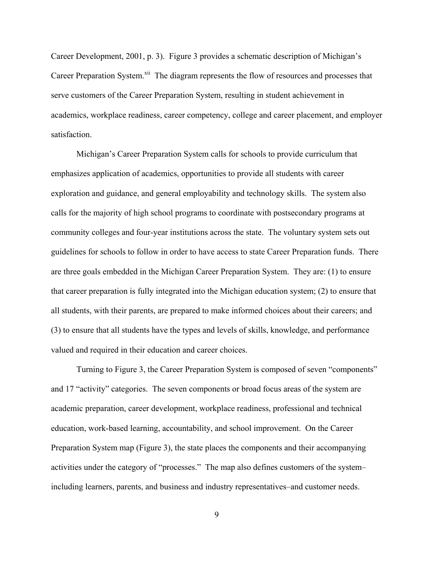Career Development, 2001, p. 3). Figure 3 provides a schematic description of Michigan's Career Preparation System.<sup>xii</sup> The diagram represents the flow of resources and processes that serve customers of the Career Preparation System, resulting in student achievement in academics, workplace readiness, career competency, college and career placement, and employer satisfaction.

Michigan's Career Preparation System calls for schools to provide curriculum that emphasizes application of academics, opportunities to provide all students with career exploration and guidance, and general employability and technology skills. The system also calls for the majority of high school programs to coordinate with postsecondary programs at community colleges and four-year institutions across the state. The voluntary system sets out guidelines for schools to follow in order to have access to state Career Preparation funds. There are three goals embedded in the Michigan Career Preparation System. They are: (1) to ensure that career preparation is fully integrated into the Michigan education system; (2) to ensure that all students, with their parents, are prepared to make informed choices about their careers; and (3) to ensure that all students have the types and levels of skills, knowledge, and performance valued and required in their education and career choices.

Turning to Figure 3, the Career Preparation System is composed of seven "components" and 17 "activity" categories. The seven components or broad focus areas of the system are academic preparation, career development, workplace readiness, professional and technical education, work-based learning, accountability, and school improvement. On the Career Preparation System map (Figure 3), the state places the components and their accompanying activities under the category of "processes." The map also defines customers of the system– including learners, parents, and business and industry representatives–and customer needs.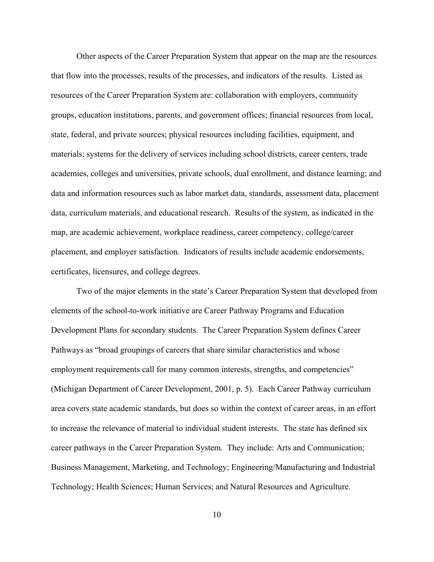Other aspects of the Career Preparation System that appear on the map are the resources that flow into the processes, results of the processes, and indicators of the results. Listed as resources of the Career Preparation System are: collaboration with employers, community groups, education institutions, parents, and government offices; financial resources from local, state, federal, and private sources; physical resources including facilities, equipment, and materials; systems for the delivery of services including school districts, career centers, trade academies, colleges and universities, private schools, dual enrollment, and distance learning; and data and information resources such as labor market data, standards, assessment data, placement data, curriculum materials, and educational research. Results of the system, as indicated in the map, are academic achievement, workplace readiness, career competency, college/career placement, and employer satisfaction. Indicators of results include academic endorsements, certificates, licensures, and college degrees.

Two of the major elements in the state's Career Preparation System that developed from elements of the school-to-work initiative are Career Pathway Programs and Education Development Plans for secondary students. The Career Preparation System defines Career Pathways as "broad groupings of careers that share similar characteristics and whose employment requirements call for many common interests, strengths, and competencies" (Michigan Department of Career Development, 2001, p. 5). Each Career Pathway curriculum area covers state academic standards, but does so within the context of career areas, in an effort to increase the relevance of material to individual student interests. The state has defined six career pathways in the Career Preparation System. They include: Arts and Communication; Business Management, Marketing, and Technology; Engineering/Manufacturing and Industrial Technology; Health Sciences; Human Services; and Natural Resources and Agriculture.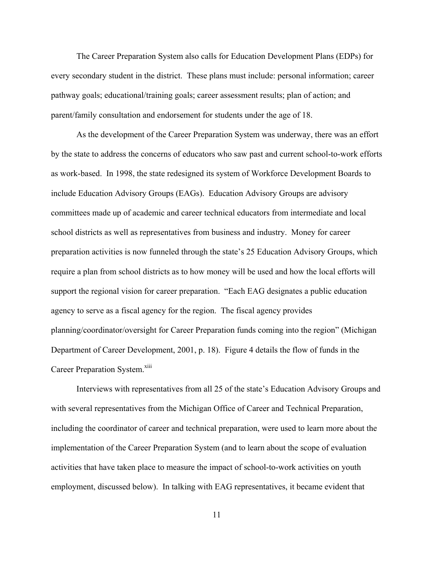The Career Preparation System also calls for Education Development Plans (EDPs) for every secondary student in the district. These plans must include: personal information; career pathway goals; educational/training goals; career assessment results; plan of action; and parent/family consultation and endorsement for students under the age of 18.

As the development of the Career Preparation System was underway, there was an effort by the state to address the concerns of educators who saw past and current school-to-work efforts as work-based. In 1998, the state redesigned its system of Workforce Development Boards to include Education Advisory Groups (EAGs). Education Advisory Groups are advisory committees made up of academic and career technical educators from intermediate and local school districts as well as representatives from business and industry. Money for career preparation activities is now funneled through the state's 25 Education Advisory Groups, which require a plan from school districts as to how money will be used and how the local efforts will support the regional vision for career preparation. "Each EAG designates a public education agency to serve as a fiscal agency for the region. The fiscal agency provides planning/coordinator/oversight for Career Preparation funds coming into the region" (Michigan Department of Career Development, 2001, p. 18). Figure 4 details the flow of funds in the Career Preparation System.<sup>[xiii](#page-44-12)</sup>

Interviews with representatives from all 25 of the state's Education Advisory Groups and with several representatives from the Michigan Office of Career and Technical Preparation, including the coordinator of career and technical preparation, were used to learn more about the implementation of the Career Preparation System (and to learn about the scope of evaluation activities that have taken place to measure the impact of school-to-work activities on youth employment, discussed below). In talking with EAG representatives, it became evident that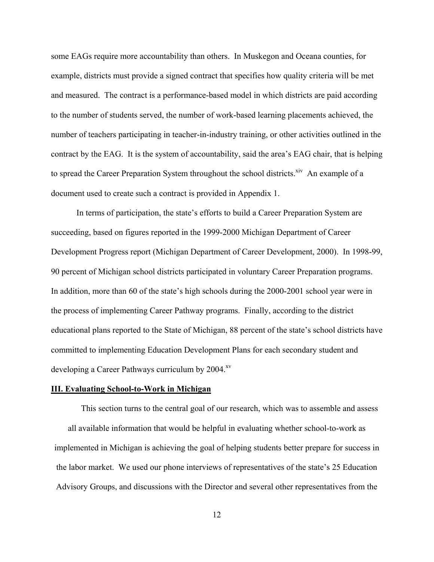some EAGs require more accountability than others. In Muskegon and Oceana counties, for example, districts must provide a signed contract that specifies how quality criteria will be met and measured. The contract is a performance-based model in which districts are paid according to the number of students served, the number of work-based learning placements achieved, the number of teachers participating in teacher-in-industry training, or other activities outlined in the contract by the EAG. It is the system of accountability, said the area's EAG chair, that is helping to spread the Career Preparation System throughout the school districts.<sup>xiv</sup> An example of a document used to create such a contract is provided in Appendix 1.

In terms of participation, the state's efforts to build a Career Preparation System are succeeding, based on figures reported in the 1999-2000 Michigan Department of Career Development Progress report (Michigan Department of Career Development, 2000). In 1998-99, 90 percent of Michigan school districts participated in voluntary Career Preparation programs. In addition, more than 60 of the state's high schools during the 2000-2001 school year were in the process of implementing Career Pathway programs. Finally, according to the district educational plans reported to the State of Michigan, 88 percent of the state's school districts have committed to implementing Education Development Plans for each secondary student and developing a Career Pathways curriculum by 2004.<sup>xv</sup>

#### **III. Evaluating School-to-Work in Michigan**

This section turns to the central goal of our research, which was to assemble and assess all available information that would be helpful in evaluating whether school-to-work as implemented in Michigan is achieving the goal of helping students better prepare for success in the labor market. We used our phone interviews of representatives of the state's 25 Education Advisory Groups, and discussions with the Director and several other representatives from the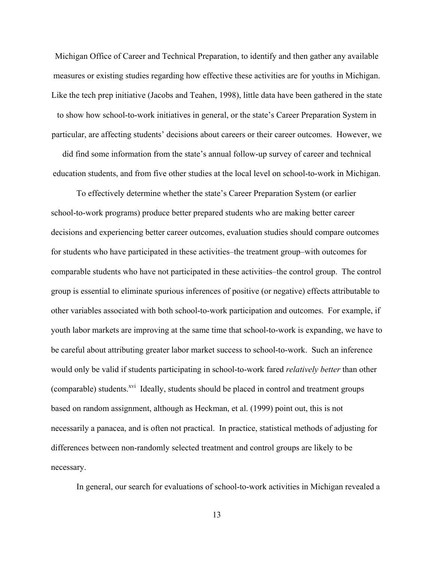Michigan Office of Career and Technical Preparation, to identify and then gather any available measures or existing studies regarding how effective these activities are for youths in Michigan. Like the tech prep initiative (Jacobs and Teahen, 1998), little data have been gathered in the state to show how school-to-work initiatives in general, or the state's Career Preparation System in particular, are affecting students' decisions about careers or their career outcomes. However, we

did find some information from the state's annual follow-up survey of career and technical education students, and from five other studies at the local level on school-to-work in Michigan.

To effectively determine whether the state's Career Preparation System (or earlier school-to-work programs) produce better prepared students who are making better career decisions and experiencing better career outcomes, evaluation studies should compare outcomes for students who have participated in these activities–the treatment group–with outcomes for comparable students who have not participated in these activities–the control group. The control group is essential to eliminate spurious inferences of positive (or negative) effects attributable to other variables associated with both school-to-work participation and outcomes. For example, if youth labor markets are improving at the same time that school-to-work is expanding, we have to be careful about attributing greater labor market success to school-to-work. Such an inference would only be valid if students participating in school-to-work fared *relatively better* than other (comparable) students.<sup>xvi</sup> Ideally, students should be placed in control and treatment groups based on random assignment, although as Heckman, et al. (1999) point out, this is not necessarily a panacea, and is often not practical. In practice, statistical methods of adjusting for differences between non-randomly selected treatment and control groups are likely to be necessary.

In general, our search for evaluations of school-to-work activities in Michigan revealed a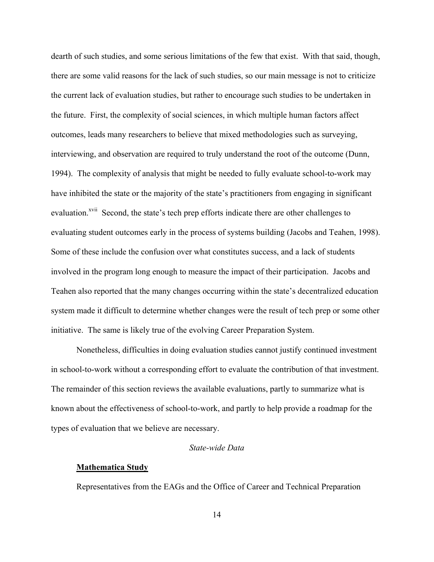dearth of such studies, and some serious limitations of the few that exist. With that said, though, there are some valid reasons for the lack of such studies, so our main message is not to criticize the current lack of evaluation studies, but rather to encourage such studies to be undertaken in the future. First, the complexity of social sciences, in which multiple human factors affect outcomes, leads many researchers to believe that mixed methodologies such as surveying, interviewing, and observation are required to truly understand the root of the outcome (Dunn, 1994). The complexity of analysis that might be needed to fully evaluate school-to-work may have inhibited the state or the majority of the state's practitioners from engaging in significant evaluation.<sup>xvii</sup> Second, the state's tech prep efforts indicate there are other challenges to evaluating student outcomes early in the process of systems building (Jacobs and Teahen, 1998). Some of these include the confusion over what constitutes success, and a lack of students involved in the program long enough to measure the impact of their participation. Jacobs and Teahen also reported that the many changes occurring within the state's decentralized education system made it difficult to determine whether changes were the result of tech prep or some other initiative. The same is likely true of the evolving Career Preparation System.

Nonetheless, difficulties in doing evaluation studies cannot justify continued investment in school-to-work without a corresponding effort to evaluate the contribution of that investment. The remainder of this section reviews the available evaluations, partly to summarize what is known about the effectiveness of school-to-work, and partly to help provide a roadmap for the types of evaluation that we believe are necessary.

#### *State-wide Data*

#### **Mathematica Study**

Representatives from the EAGs and the Office of Career and Technical Preparation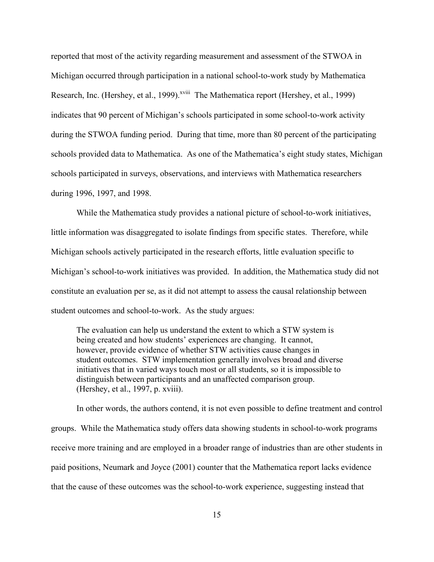reported that most of the activity regarding measurement and assessment of the STWOA in Michigan occurred through participation in a national school-to-work study by Mathematica Research, Inc. (Hershey, et al., 1999).<sup>xviii</sup> The Mathematica report (Hershey, et al., 1999) indicates that 90 percent of Michigan's schools participated in some school-to-work activity during the STWOA funding period. During that time, more than 80 percent of the participating schools provided data to Mathematica. As one of the Mathematica's eight study states, Michigan schools participated in surveys, observations, and interviews with Mathematica researchers during 1996, 1997, and 1998.

While the Mathematica study provides a national picture of school-to-work initiatives, little information was disaggregated to isolate findings from specific states. Therefore, while Michigan schools actively participated in the research efforts, little evaluation specific to Michigan's school-to-work initiatives was provided. In addition, the Mathematica study did not constitute an evaluation per se, as it did not attempt to assess the causal relationship between student outcomes and school-to-work. As the study argues:

The evaluation can help us understand the extent to which a STW system is being created and how students' experiences are changing. It cannot, however, provide evidence of whether STW activities cause changes in student outcomes. STW implementation generally involves broad and diverse initiatives that in varied ways touch most or all students, so it is impossible to distinguish between participants and an unaffected comparison group. (Hershey, et al., 1997, p. xviii).

In other words, the authors contend, it is not even possible to define treatment and control groups. While the Mathematica study offers data showing students in school-to-work programs receive more training and are employed in a broader range of industries than are other students in paid positions, Neumark and Joyce (2001) counter that the Mathematica report lacks evidence that the cause of these outcomes was the school-to-work experience, suggesting instead that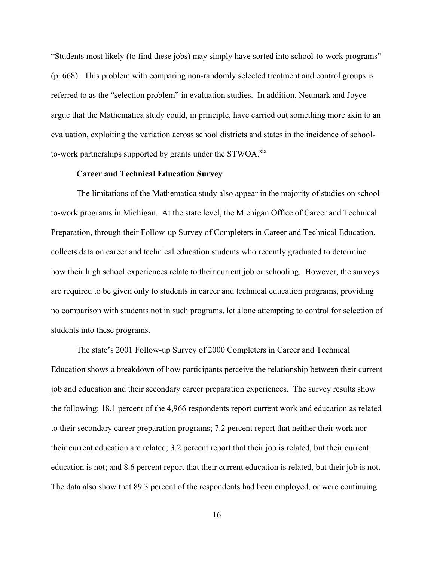"Students most likely (to find these jobs) may simply have sorted into school-to-work programs" (p. 668). This problem with comparing non-randomly selected treatment and control groups is referred to as the "selection problem" in evaluation studies. In addition, Neumark and Joyce argue that the Mathematica study could, in principle, have carried out something more akin to an evaluation, exploiting the variation across school districts and states in the incidence of schoolto-work partnerships supported by grants under the STWOA.<sup>[xix](#page-44-18)</sup>

#### **Career and Technical Education Survey**

The limitations of the Mathematica study also appear in the majority of studies on schoolto-work programs in Michigan. At the state level, the Michigan Office of Career and Technical Preparation, through their Follow-up Survey of Completers in Career and Technical Education, collects data on career and technical education students who recently graduated to determine how their high school experiences relate to their current job or schooling. However, the surveys are required to be given only to students in career and technical education programs, providing no comparison with students not in such programs, let alone attempting to control for selection of students into these programs.

The state's 2001 Follow-up Survey of 2000 Completers in Career and Technical Education shows a breakdown of how participants perceive the relationship between their current job and education and their secondary career preparation experiences. The survey results show the following: 18.1 percent of the 4,966 respondents report current work and education as related to their secondary career preparation programs; 7.2 percent report that neither their work nor their current education are related; 3.2 percent report that their job is related, but their current education is not; and 8.6 percent report that their current education is related, but their job is not. The data also show that 89.3 percent of the respondents had been employed, or were continuing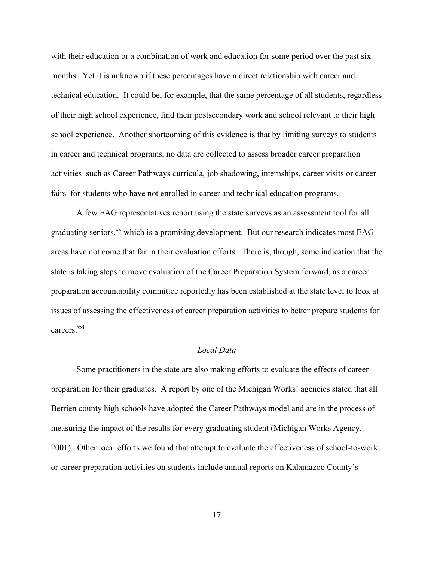with their education or a combination of work and education for some period over the past six months. Yet it is unknown if these percentages have a direct relationship with career and technical education. It could be, for example, that the same percentage of all students, regardless of their high school experience, find their postsecondary work and school relevant to their high school experience. Another shortcoming of this evidence is that by limiting surveys to students in career and technical programs, no data are collected to assess broader career preparation activities–such as Career Pathways curricula, job shadowing, internships, career visits or career fairs–for students who have not enrolled in career and technical education programs.

A few EAG representatives report using the state surveys as an assessment tool for all graduating seniors, $^{xx}$  which is a promising development. But our research indicates most EAG areas have not come that far in their evaluation efforts. There is, though, some indication that the state is taking steps to move evaluation of the Career Preparation System forward, as a career preparation accountability committee reportedly has been established at the state level to look at issues of assessing the effectiveness of career preparation activities to better prepare students for careers<sup>xxi</sup>

# *Local Data*

Some practitioners in the state are also making efforts to evaluate the effects of career preparation for their graduates.A report by one of the Michigan Works! agencies stated that all Berrien county high schools have adopted the Career Pathways model and are in the process of measuring the impact of the results for every graduating student (Michigan Works Agency, 2001). Other local efforts we found that attempt to evaluate the effectiveness of school-to-work or career preparation activities on students include annual reports on Kalamazoo County's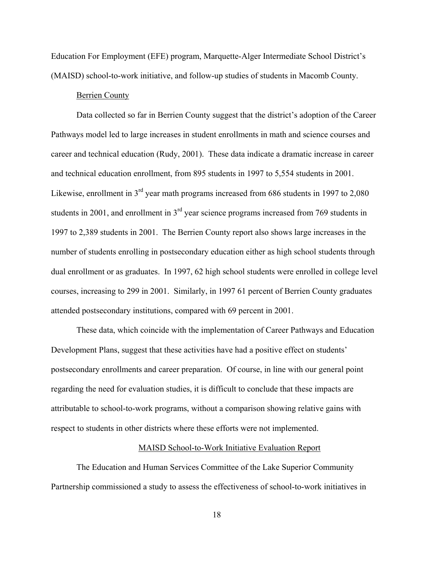Education For Employment (EFE) program, Marquette-Alger Intermediate School District's (MAISD) school-to-work initiative, and follow-up studies of students in Macomb County.

#### Berrien County

Data collected so far in Berrien County suggest that the district's adoption of the Career Pathways model led to large increases in student enrollments in math and science courses and career and technical education (Rudy, 2001). These data indicate a dramatic increase in career and technical education enrollment, from 895 students in 1997 to 5,554 students in 2001. Likewise, enrollment in  $3<sup>rd</sup>$  year math programs increased from 686 students in 1997 to 2,080 students in 2001, and enrollment in  $3<sup>rd</sup>$  year science programs increased from 769 students in 1997 to 2,389 students in 2001. The Berrien County report also shows large increases in the number of students enrolling in postsecondary education either as high school students through dual enrollment or as graduates. In 1997, 62 high school students were enrolled in college level courses, increasing to 299 in 2001. Similarly, in 1997 61 percent of Berrien County graduates attended postsecondary institutions, compared with 69 percent in 2001.

These data, which coincide with the implementation of Career Pathways and Education Development Plans, suggest that these activities have had a positive effect on students' postsecondary enrollments and career preparation. Of course, in line with our general point regarding the need for evaluation studies, it is difficult to conclude that these impacts are attributable to school-to-work programs, without a comparison showing relative gains with respect to students in other districts where these efforts were not implemented.

### MAISD School-to-Work Initiative Evaluation Report

The Education and Human Services Committee of the Lake Superior Community Partnership commissioned a study to assess the effectiveness of school-to-work initiatives in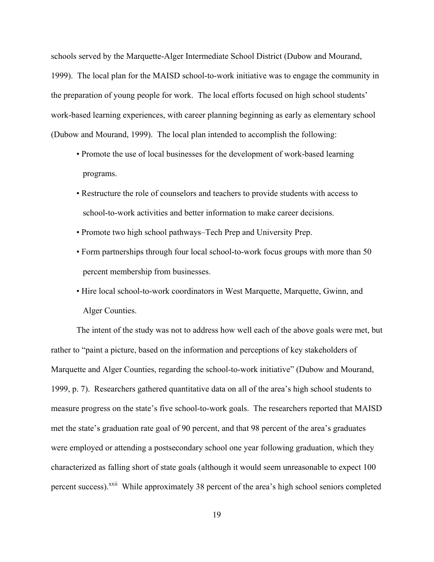schools served by the Marquette-Alger Intermediate School District (Dubow and Mourand, 1999). The local plan for the MAISD school-to-work initiative was to engage the community in the preparation of young people for work. The local efforts focused on high school students' work-based learning experiences, with career planning beginning as early as elementary school (Dubow and Mourand, 1999). The local plan intended to accomplish the following:

- Promote the use of local businesses for the development of work-based learning programs.
- Restructure the role of counselors and teachers to provide students with access to school-to-work activities and better information to make career decisions.
- Promote two high school pathways–Tech Prep and University Prep.
- Form partnerships through four local school-to-work focus groups with more than 50 percent membership from businesses.
- Hire local school-to-work coordinators in West Marquette, Marquette, Gwinn, and Alger Counties.

The intent of the study was not to address how well each of the above goals were met, but rather to "paint a picture, based on the information and perceptions of key stakeholders of Marquette and Alger Counties, regarding the school-to-work initiative" (Dubow and Mourand, 1999, p. 7). Researchers gathered quantitative data on all of the area's high school students to measure progress on the state's five school-to-work goals. The researchers reported that MAISD met the state's graduation rate goal of 90 percent, and that 98 percent of the area's graduates were employed or attending a postsecondary school one year following graduation, which they characterized as falling short of state goals (although it would seem unreasonable to expect 100 percent success).<sup>xxii</sup> While approximately 38 percent of the area's high school seniors completed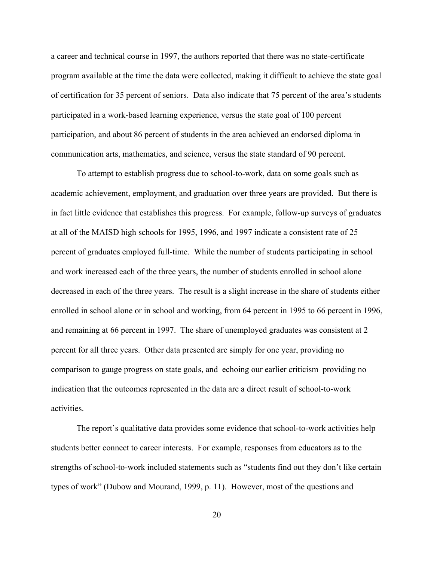a career and technical course in 1997, the authors reported that there was no state-certificate program available at the time the data were collected, making it difficult to achieve the state goal of certification for 35 percent of seniors. Data also indicate that 75 percent of the area's students participated in a work-based learning experience, versus the state goal of 100 percent participation, and about 86 percent of students in the area achieved an endorsed diploma in communication arts, mathematics, and science, versus the state standard of 90 percent.

To attempt to establish progress due to school-to-work, data on some goals such as academic achievement, employment, and graduation over three years are provided. But there is in fact little evidence that establishes this progress. For example, follow-up surveys of graduates at all of the MAISD high schools for 1995, 1996, and 1997 indicate a consistent rate of 25 percent of graduates employed full-time. While the number of students participating in school and work increased each of the three years, the number of students enrolled in school alone decreased in each of the three years. The result is a slight increase in the share of students either enrolled in school alone or in school and working, from 64 percent in 1995 to 66 percent in 1996, and remaining at 66 percent in 1997. The share of unemployed graduates was consistent at 2 percent for all three years. Other data presented are simply for one year, providing no comparison to gauge progress on state goals, and–echoing our earlier criticism–providing no indication that the outcomes represented in the data are a direct result of school-to-work activities.

The report's qualitative data provides some evidence that school-to-work activities help students better connect to career interests. For example, responses from educators as to the strengths of school-to-work included statements such as "students find out they don't like certain types of work" (Dubow and Mourand, 1999, p. 11). However, most of the questions and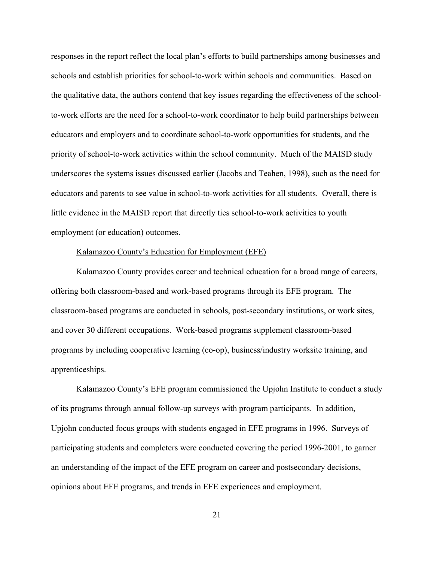responses in the report reflect the local plan's efforts to build partnerships among businesses and schools and establish priorities for school-to-work within schools and communities. Based on the qualitative data, the authors contend that key issues regarding the effectiveness of the schoolto-work efforts are the need for a school-to-work coordinator to help build partnerships between educators and employers and to coordinate school-to-work opportunities for students, and the priority of school-to-work activities within the school community. Much of the MAISD study underscores the systems issues discussed earlier (Jacobs and Teahen, 1998), such as the need for educators and parents to see value in school-to-work activities for all students. Overall, there is little evidence in the MAISD report that directly ties school-to-work activities to youth employment (or education) outcomes.

#### Kalamazoo County's Education for Employment (EFE)

Kalamazoo County provides career and technical education for a broad range of careers, offering both classroom-based and work-based programs through its EFE program. The classroom-based programs are conducted in schools, post-secondary institutions, or work sites, and cover 30 different occupations. Work-based programs supplement classroom-based programs by including cooperative learning (co-op), business/industry worksite training, and apprenticeships.

Kalamazoo County's EFE program commissioned the Upjohn Institute to conduct a study of its programs through annual follow-up surveys with program participants. In addition, Upjohn conducted focus groups with students engaged in EFE programs in 1996. Surveys of participating students and completers were conducted covering the period 1996-2001, to garner an understanding of the impact of the EFE program on career and postsecondary decisions, opinions about EFE programs, and trends in EFE experiences and employment.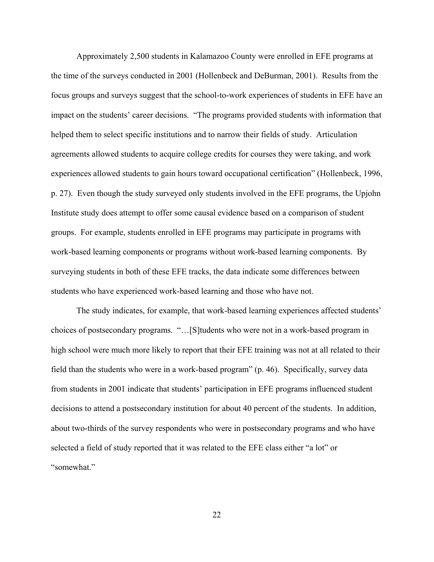Approximately 2,500 students in Kalamazoo County were enrolled in EFE programs at the time of the surveys conducted in 2001 (Hollenbeck and DeBurman, 2001). Results from the focus groups and surveys suggest that the school-to-work experiences of students in EFE have an impact on the students' career decisions. "The programs provided students with information that helped them to select specific institutions and to narrow their fields of study. Articulation agreements allowed students to acquire college credits for courses they were taking, and work experiences allowed students to gain hours toward occupational certification" (Hollenbeck, 1996, p. 27). Even though the study surveyed only students involved in the EFE programs, the Upjohn Institute study does attempt to offer some causal evidence based on a comparison of student groups. For example, students enrolled in EFE programs may participate in programs with work-based learning components or programs without work-based learning components. By surveying students in both of these EFE tracks, the data indicate some differences between students who have experienced work-based learning and those who have not.

The study indicates, for example, that work-based learning experiences affected students' choices of postsecondary programs. "…[S]tudents who were not in a work-based program in high school were much more likely to report that their EFE training was not at all related to their field than the students who were in a work-based program" (p. 46). Specifically, survey data from students in 2001 indicate that students' participation in EFE programs influenced student decisions to attend a postsecondary institution for about 40 percent of the students. In addition, about two-thirds of the survey respondents who were in postsecondary programs and who have selected a field of study reported that it was related to the EFE class either "a lot" or "somewhat."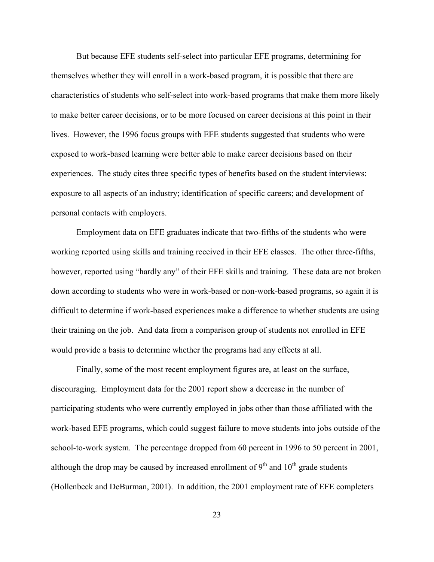But because EFE students self-select into particular EFE programs, determining for themselves whether they will enroll in a work-based program, it is possible that there are characteristics of students who self-select into work-based programs that make them more likely to make better career decisions, or to be more focused on career decisions at this point in their lives. However, the 1996 focus groups with EFE students suggested that students who were exposed to work-based learning were better able to make career decisions based on their experiences. The study cites three specific types of benefits based on the student interviews: exposure to all aspects of an industry; identification of specific careers; and development of personal contacts with employers.

Employment data on EFE graduates indicate that two-fifths of the students who were working reported using skills and training received in their EFE classes. The other three-fifths, however, reported using "hardly any" of their EFE skills and training. These data are not broken down according to students who were in work-based or non-work-based programs, so again it is difficult to determine if work-based experiences make a difference to whether students are using their training on the job. And data from a comparison group of students not enrolled in EFE would provide a basis to determine whether the programs had any effects at all.

Finally, some of the most recent employment figures are, at least on the surface, discouraging. Employment data for the 2001 report show a decrease in the number of participating students who were currently employed in jobs other than those affiliated with the work-based EFE programs, which could suggest failure to move students into jobs outside of the school-to-work system. The percentage dropped from 60 percent in 1996 to 50 percent in 2001, although the drop may be caused by increased enrollment of  $9<sup>th</sup>$  and  $10<sup>th</sup>$  grade students (Hollenbeck and DeBurman, 2001). In addition, the 2001 employment rate of EFE completers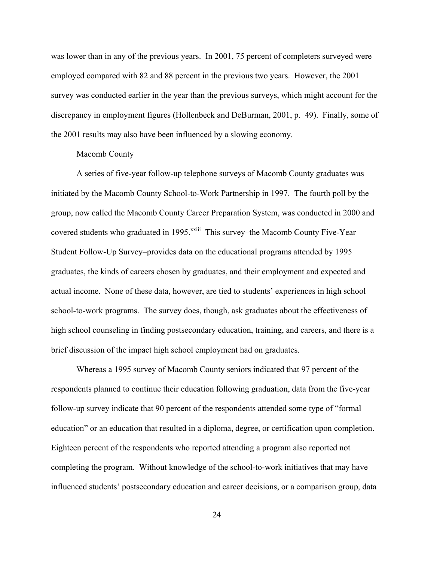was lower than in any of the previous years. In 2001, 75 percent of completers surveyed were employed compared with 82 and 88 percent in the previous two years. However, the 2001 survey was conducted earlier in the year than the previous surveys, which might account for the discrepancy in employment figures (Hollenbeck and DeBurman, 2001, p. 49). Finally, some of the 2001 results may also have been influenced by a slowing economy.

#### Macomb County

A series of five-year follow-up telephone surveys of Macomb County graduates was initiated by the Macomb County School-to-Work Partnership in 1997. The fourth poll by the group, now called the Macomb County Career Preparation System, was conducted in 2000 and covered students who graduated in 1995.<sup>xxiii</sup> This survey–the Macomb County Five-Year Student Follow-Up Survey–provides data on the educational programs attended by 1995 graduates, the kinds of careers chosen by graduates, and their employment and expected and actual income. None of these data, however, are tied to students' experiences in high school school-to-work programs. The survey does, though, ask graduates about the effectiveness of high school counseling in finding postsecondary education, training, and careers, and there is a brief discussion of the impact high school employment had on graduates.

Whereas a 1995 survey of Macomb County seniors indicated that 97 percent of the respondents planned to continue their education following graduation, data from the five-year follow-up survey indicate that 90 percent of the respondents attended some type of "formal education" or an education that resulted in a diploma, degree, or certification upon completion. Eighteen percent of the respondents who reported attending a program also reported not completing the program. Without knowledge of the school-to-work initiatives that may have influenced students' postsecondary education and career decisions, or a comparison group, data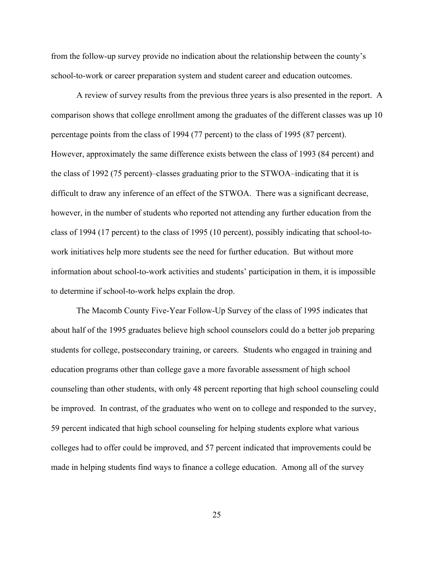from the follow-up survey provide no indication about the relationship between the county's school-to-work or career preparation system and student career and education outcomes.

A review of survey results from the previous three years is also presented in the report. A comparison shows that college enrollment among the graduates of the different classes was up 10 percentage points from the class of 1994 (77 percent) to the class of 1995 (87 percent). However, approximately the same difference exists between the class of 1993 (84 percent) and the class of 1992 (75 percent)–classes graduating prior to the STWOA–indicating that it is difficult to draw any inference of an effect of the STWOA. There was a significant decrease, however, in the number of students who reported not attending any further education from the class of 1994 (17 percent) to the class of 1995 (10 percent), possibly indicating that school-towork initiatives help more students see the need for further education. But without more information about school-to-work activities and students' participation in them, it is impossible to determine if school-to-work helps explain the drop.

The Macomb County Five-Year Follow-Up Survey of the class of 1995 indicates that about half of the 1995 graduates believe high school counselors could do a better job preparing students for college, postsecondary training, or careers. Students who engaged in training and education programs other than college gave a more favorable assessment of high school counseling than other students, with only 48 percent reporting that high school counseling could be improved. In contrast, of the graduates who went on to college and responded to the survey, 59 percent indicated that high school counseling for helping students explore what various colleges had to offer could be improved, and 57 percent indicated that improvements could be made in helping students find ways to finance a college education. Among all of the survey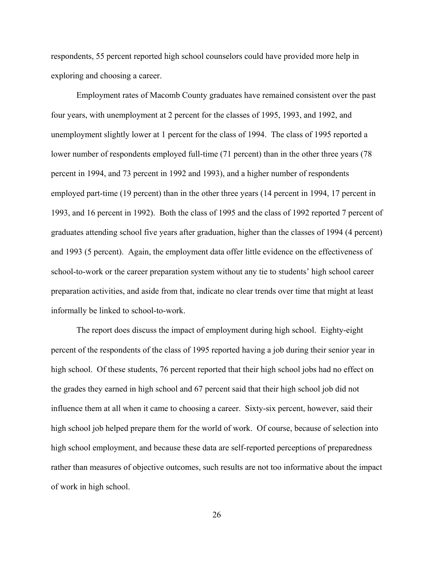respondents, 55 percent reported high school counselors could have provided more help in exploring and choosing a career.

Employment rates of Macomb County graduates have remained consistent over the past four years, with unemployment at 2 percent for the classes of 1995, 1993, and 1992, and unemployment slightly lower at 1 percent for the class of 1994. The class of 1995 reported a lower number of respondents employed full-time (71 percent) than in the other three years (78 percent in 1994, and 73 percent in 1992 and 1993), and a higher number of respondents employed part-time (19 percent) than in the other three years (14 percent in 1994, 17 percent in 1993, and 16 percent in 1992). Both the class of 1995 and the class of 1992 reported 7 percent of graduates attending school five years after graduation, higher than the classes of 1994 (4 percent) and 1993 (5 percent). Again, the employment data offer little evidence on the effectiveness of school-to-work or the career preparation system without any tie to students' high school career preparation activities, and aside from that, indicate no clear trends over time that might at least informally be linked to school-to-work.

The report does discuss the impact of employment during high school. Eighty-eight percent of the respondents of the class of 1995 reported having a job during their senior year in high school. Of these students, 76 percent reported that their high school jobs had no effect on the grades they earned in high school and 67 percent said that their high school job did not influence them at all when it came to choosing a career. Sixty-six percent, however, said their high school job helped prepare them for the world of work. Of course, because of selection into high school employment, and because these data are self-reported perceptions of preparedness rather than measures of objective outcomes, such results are not too informative about the impact of work in high school.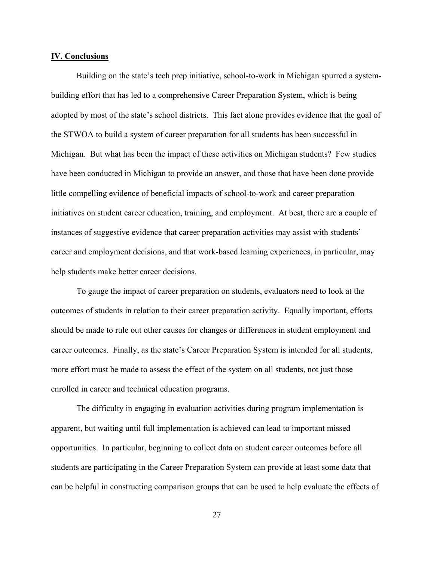#### **IV. Conclusions**

Building on the state's tech prep initiative, school-to-work in Michigan spurred a systembuilding effort that has led to a comprehensive Career Preparation System, which is being adopted by most of the state's school districts. This fact alone provides evidence that the goal of the STWOA to build a system of career preparation for all students has been successful in Michigan. But what has been the impact of these activities on Michigan students? Few studies have been conducted in Michigan to provide an answer, and those that have been done provide little compelling evidence of beneficial impacts of school-to-work and career preparation initiatives on student career education, training, and employment. At best, there are a couple of instances of suggestive evidence that career preparation activities may assist with students' career and employment decisions, and that work-based learning experiences, in particular, may help students make better career decisions.

To gauge the impact of career preparation on students, evaluators need to look at the outcomes of students in relation to their career preparation activity. Equally important, efforts should be made to rule out other causes for changes or differences in student employment and career outcomes. Finally, as the state's Career Preparation System is intended for all students, more effort must be made to assess the effect of the system on all students, not just those enrolled in career and technical education programs.

The difficulty in engaging in evaluation activities during program implementation is apparent, but waiting until full implementation is achieved can lead to important missed opportunities. In particular, beginning to collect data on student career outcomes before all students are participating in the Career Preparation System can provide at least some data that can be helpful in constructing comparison groups that can be used to help evaluate the effects of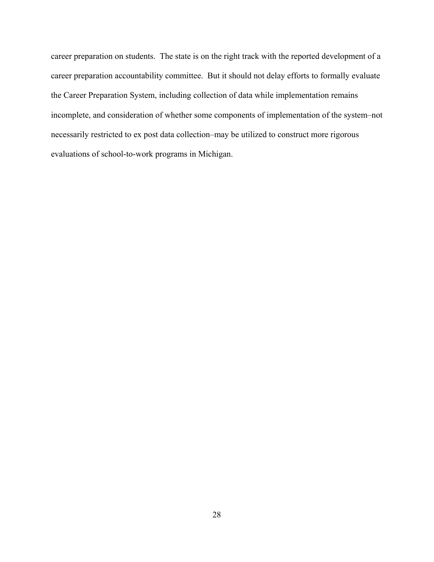career preparation on students. The state is on the right track with the reported development of a career preparation accountability committee. But it should not delay efforts to formally evaluate the Career Preparation System, including collection of data while implementation remains incomplete, and consideration of whether some components of implementation of the system–not necessarily restricted to ex post data collection–may be utilized to construct more rigorous evaluations of school-to-work programs in Michigan.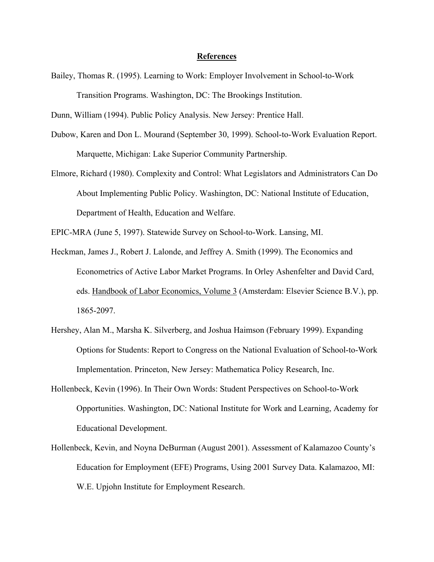#### **References**

Bailey, Thomas R. (1995). Learning to Work: Employer Involvement in School-to-Work Transition Programs. Washington, DC: The Brookings Institution.

Dunn, William (1994). Public Policy Analysis. New Jersey: Prentice Hall.

- Dubow, Karen and Don L. Mourand (September 30, 1999). School-to-Work Evaluation Report. Marquette, Michigan: Lake Superior Community Partnership.
- Elmore, Richard (1980). Complexity and Control: What Legislators and Administrators Can Do About Implementing Public Policy. Washington, DC: National Institute of Education, Department of Health, Education and Welfare.

EPIC-MRA (June 5, 1997). Statewide Survey on School-to-Work. Lansing, MI.

- Heckman, James J., Robert J. Lalonde, and Jeffrey A. Smith (1999). The Economics and Econometrics of Active Labor Market Programs. In Orley Ashenfelter and David Card, eds. Handbook of Labor Economics, Volume 3 (Amsterdam: Elsevier Science B.V.), pp. 1865-2097.
- Hershey, Alan M., Marsha K. Silverberg, and Joshua Haimson (February 1999). Expanding Options for Students: Report to Congress on the National Evaluation of School-to-Work Implementation. Princeton, New Jersey: Mathematica Policy Research, Inc.
- Hollenbeck, Kevin (1996). In Their Own Words: Student Perspectives on School-to-Work Opportunities. Washington, DC: National Institute for Work and Learning, Academy for Educational Development.
- Hollenbeck, Kevin, and Noyna DeBurman (August 2001). Assessment of Kalamazoo County's Education for Employment (EFE) Programs, Using 2001 Survey Data. Kalamazoo, MI: W.E. Upjohn Institute for Employment Research.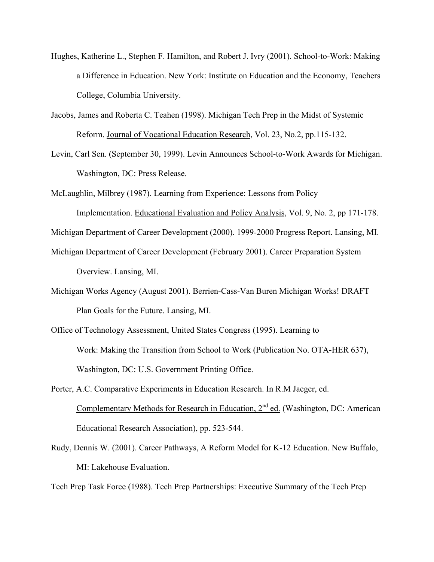- Hughes, Katherine L., Stephen F. Hamilton, and Robert J. Ivry (2001). School-to-Work: Making a Difference in Education. New York: Institute on Education and the Economy, Teachers College, Columbia University.
- Jacobs, James and Roberta C. Teahen (1998). Michigan Tech Prep in the Midst of Systemic Reform. Journal of Vocational Education Research, Vol. 23, No.2, pp.115-132.
- Levin, Carl Sen. (September 30, 1999). Levin Announces School-to-Work Awards for Michigan. Washington, DC: Press Release.
- McLaughlin, Milbrey (1987). Learning from Experience: Lessons from Policy Implementation. Educational Evaluation and Policy Analysis, Vol. 9, No. 2, pp 171-178.
- Michigan Department of Career Development (2000). 1999-2000 Progress Report. Lansing, MI.
- Michigan Department of Career Development (February 2001). Career Preparation System Overview. Lansing, MI.
- Michigan Works Agency (August 2001). Berrien-Cass-Van Buren Michigan Works! DRAFT Plan Goals for the Future. Lansing, MI.
- Office of Technology Assessment, United States Congress (1995). Learning to Work: Making the Transition from School to Work (Publication No. OTA-HER 637), Washington, DC: U.S. Government Printing Office.
- Porter, A.C. Comparative Experiments in Education Research. In R.M Jaeger, ed. Complementary Methods for Research in Education,  $2<sup>nd</sup>$  ed. (Washington, DC: American Educational Research Association), pp. 523-544.
- Rudy, Dennis W. (2001). Career Pathways, A Reform Model for K-12 Education. New Buffalo, MI: Lakehouse Evaluation.

Tech Prep Task Force (1988). Tech Prep Partnerships: Executive Summary of the Tech Prep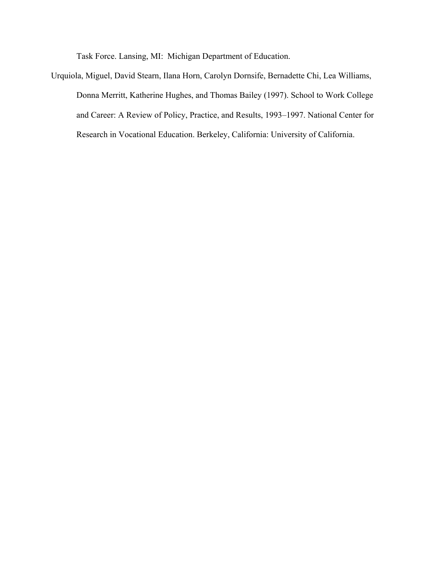Task Force. Lansing, MI: Michigan Department of Education.

Urquiola, Miguel, David Stearn, Ilana Horn, Carolyn Dornsife, Bernadette Chi, Lea Williams, Donna Merritt, Katherine Hughes, and Thomas Bailey (1997). School to Work College and Career: A Review of Policy, Practice, and Results, 1993–1997. National Center for Research in Vocational Education. Berkeley, California: University of California.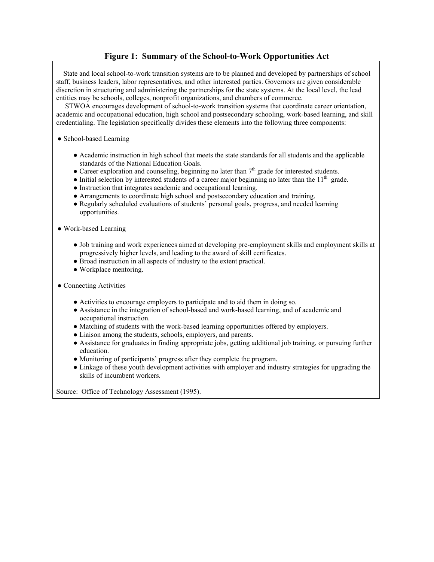# **Figure 1: Summary of the School-to-Work Opportunities Act**

 State and local school-to-work transition systems are to be planned and developed by partnerships of school staff, business leaders, labor representatives, and other interested parties. Governors are given considerable discretion in structuring and administering the partnerships for the state systems. At the local level, the lead entities may be schools, colleges, nonprofit organizations, and chambers of commerce.

 STWOA encourages development of school-to-work transition systems that coordinate career orientation, academic and occupational education, high school and postsecondary schooling, work-based learning, and skill credentialing. The legislation specifically divides these elements into the following three components:

#### • School-based Learning

- Academic instruction in high school that meets the state standards for all students and the applicable standards of the National Education Goals.
- Career exploration and counseling, beginning no later than  $7<sup>th</sup>$  grade for interested students.
- Initial selection by interested students of a career major beginning no later than the  $11<sup>th</sup>$  grade.
- Instruction that integrates academic and occupational learning.
- Arrangements to coordinate high school and postsecondary education and training.
- Regularly scheduled evaluations of students' personal goals, progress, and needed learning opportunities.

#### ● Work-based Learning

- Job training and work experiences aimed at developing pre-employment skills and employment skills at progressively higher levels, and leading to the award of skill certificates.
- Broad instruction in all aspects of industry to the extent practical.
- Workplace mentoring.
- Connecting Activities
	- Activities to encourage employers to participate and to aid them in doing so.
	- Assistance in the integration of school-based and work-based learning, and of academic and occupational instruction.
	- Matching of students with the work-based learning opportunities offered by employers.
	- Liaison among the students, schools, employers, and parents.
	- Assistance for graduates in finding appropriate jobs, getting additional job training, or pursuing further education.
	- Monitoring of participants' progress after they complete the program.
	- Linkage of these youth development activities with employer and industry strategies for upgrading the skills of incumbent workers.

Source: Office of Technology Assessment (1995).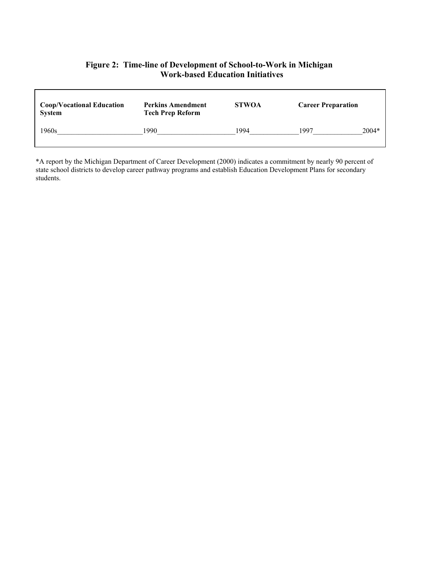# **Figure 2: Time-line of Development of School-to-Work in Michigan Work-based Education Initiatives**

Г

| <b>Coop/Vocational Education</b><br><b>System</b> | <b>Perkins Amendment</b><br><b>Tech Prep Reform</b> | <b>STWOA</b> | <b>Career Preparation</b> |         |
|---------------------------------------------------|-----------------------------------------------------|--------------|---------------------------|---------|
| 1960s                                             | 1990                                                | 1994         | 1997                      | $2004*$ |

\*A report by the Michigan Department of Career Development (2000) indicates a commitment by nearly 90 percent of state school districts to develop career pathway programs and establish Education Development Plans for secondary students.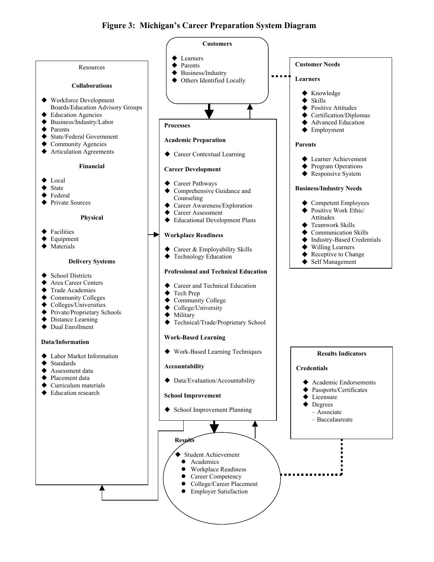# **Figure 3: Michigan's Career Preparation System Diagram**

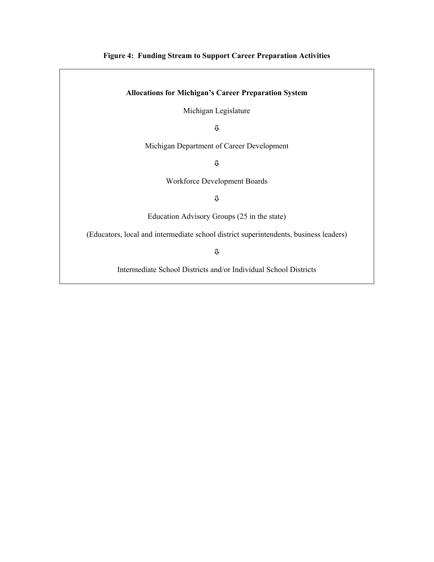# **Figure 4: Funding Stream to Support Career Preparation Activities**

#### **Allocations for Michigan's Career Preparation System**

Michigan Legislature

Ø

Michigan Department of Career Development

Ø

Workforce Development Boards

Ø

Education Advisory Groups (25 in the state)

(Educators, local and intermediate school district superintendents, business leaders)

Ø

Intermediate School Districts and/or Individual School Districts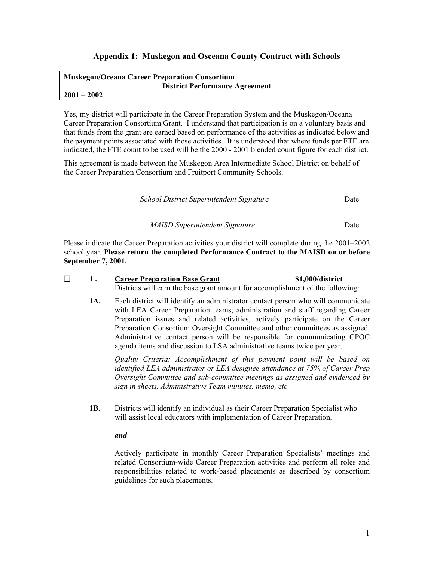# **Appendix 1: Muskegon and Osceana County Contract with Schools**

#### **Muskegon/Oceana Career Preparation Consortium District Performance Agreement 2001 – 2002**

Yes, my district will participate in the Career Preparation System and the Muskegon/Oceana Career Preparation Consortium Grant. I understand that participation is on a voluntary basis and that funds from the grant are earned based on performance of the activities as indicated below and the payment points associated with those activities. It is understood that where funds per FTE are indicated, the FTE count to be used will be the 2000 - 2001 blended count figure for each district.

This agreement is made between the Muskegon Area Intermediate School District on behalf of the Career Preparation Consortium and Fruitport Community Schools.

 $\mathcal{L}_\mathcal{L} = \{ \mathcal{L}_\mathcal{L} = \{ \mathcal{L}_\mathcal{L} = \{ \mathcal{L}_\mathcal{L} = \{ \mathcal{L}_\mathcal{L} = \{ \mathcal{L}_\mathcal{L} = \{ \mathcal{L}_\mathcal{L} = \{ \mathcal{L}_\mathcal{L} = \{ \mathcal{L}_\mathcal{L} = \{ \mathcal{L}_\mathcal{L} = \{ \mathcal{L}_\mathcal{L} = \{ \mathcal{L}_\mathcal{L} = \{ \mathcal{L}_\mathcal{L} = \{ \mathcal{L}_\mathcal{L} = \{ \mathcal{L}_\mathcal{$ *School District Superintendent Signature* Date

*MAISD Superintendent Signature* Date

Please indicate the Career Preparation activities your district will complete during the 2001–2002 school year. **Please return the completed Performance Contract to the MAISD on or before September 7, 2001.**

 $\mathcal{L}_\mathcal{L} = \{ \mathcal{L}_\mathcal{L} = \{ \mathcal{L}_\mathcal{L} = \{ \mathcal{L}_\mathcal{L} = \{ \mathcal{L}_\mathcal{L} = \{ \mathcal{L}_\mathcal{L} = \{ \mathcal{L}_\mathcal{L} = \{ \mathcal{L}_\mathcal{L} = \{ \mathcal{L}_\mathcal{L} = \{ \mathcal{L}_\mathcal{L} = \{ \mathcal{L}_\mathcal{L} = \{ \mathcal{L}_\mathcal{L} = \{ \mathcal{L}_\mathcal{L} = \{ \mathcal{L}_\mathcal{L} = \{ \mathcal{L}_\mathcal{$ 

| 1.  | <b>Career Preparation Base Grant</b>                                                                                                                             | \$1,000/district |
|-----|------------------------------------------------------------------------------------------------------------------------------------------------------------------|------------------|
|     | Districts will earn the base grant amount for accomplishment of the following:                                                                                   |                  |
| 1A. | Each district will identify an administrator contact person who will communicate<br>with LEA Career Preparation teams, administration and staff regarding Career |                  |
|     | Preparation issues and related activities, actively participate on the Career                                                                                    |                  |
|     | Preparation Consortium Oversight Committee and other committees as assigned.                                                                                     |                  |

*Quality Criteria: Accomplishment of this payment point will be based on identified LEA administrator or LEA designee attendance at 75% of Career Prep Oversight Committee and sub-committee meetings as assigned and evidenced by sign in sheets, Administrative Team minutes, memo, etc.*

Administrative contact person will be responsible for communicating CPOC

agenda items and discussion to LSA administrative teams twice per year.

**1B.** Districts will identify an individual as their Career Preparation Specialist who will assist local educators with implementation of Career Preparation,

*and* 

Actively participate in monthly Career Preparation Specialists' meetings and related Consortium-wide Career Preparation activities and perform all roles and responsibilities related to work-based placements as described by consortium guidelines for such placements.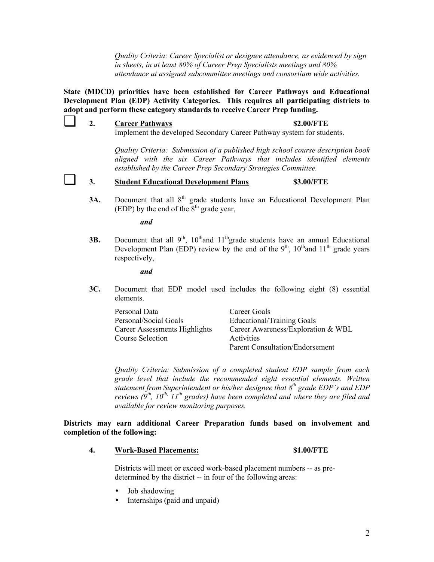*Quality Criteria: Career Specialist or designee attendance, as evidenced by sign in sheets, in at least 80% of Career Prep Specialists meetings and 80% attendance at assigned subcommittee meetings and consortium wide activities.* 

**State (MDCD) priorities have been established for Career Pathways and Educational Development Plan (EDP) Activity Categories. This requires all participating districts to adopt and perform these category standards to receive Career Prep funding.** 

❑ **2. Career Pathways \$2.00/FTE** Implement the developed Secondary Career Pathway system for students.

> *Quality Criteria: Submission of a published high school course description book aligned with the six Career Pathways that includes identified elements established by the Career Prep Secondary Strategies Committee.*

# ❑ **3. Student Educational Development Plans \$3.00/FTE**

**3A.** Document that all 8<sup>th</sup> grade students have an Educational Development Plan (EDP) by the end of the  $8<sup>th</sup>$  grade year,

*and* 

**3B.** Document that all  $9<sup>th</sup>$ ,  $10<sup>th</sup>$  and  $11<sup>th</sup>$  grade students have an annual Educational Development Plan (EDP) review by the end of the  $9<sup>th</sup>$ ,  $10<sup>th</sup>$  and  $11<sup>th</sup>$  grade years respectively,

*and* 

**3C.** Document that EDP model used includes the following eight (8) essential elements.

| Personal Data                 | Career Goals                       |
|-------------------------------|------------------------------------|
| Personal/Social Goals         | Educational/Training Goals         |
| Career Assessments Highlights | Career Awareness/Exploration & WBL |
| Course Selection              | Activities                         |
|                               | Parent Consultation/Endorsement    |

*Quality Criteria: Submission of a completed student EDP sample from each grade level that include the recommended eight essential elements. Written statement from Superintendent or his/her designee that 8th grade EDP's and EDP reviews*  $(9<sup>th</sup>, 10<sup>th</sup>, 11<sup>th</sup>$  grades) have been completed and where they are filed and *available for review monitoring purposes.*

**Districts may earn additional Career Preparation funds based on involvement and completion of the following:** 

**4. Work-Based Placements: \$1.00/FTE**

Districts will meet or exceed work-based placement numbers -- as predetermined by the district -- in four of the following areas:

- Job shadowing
- Internships (paid and unpaid)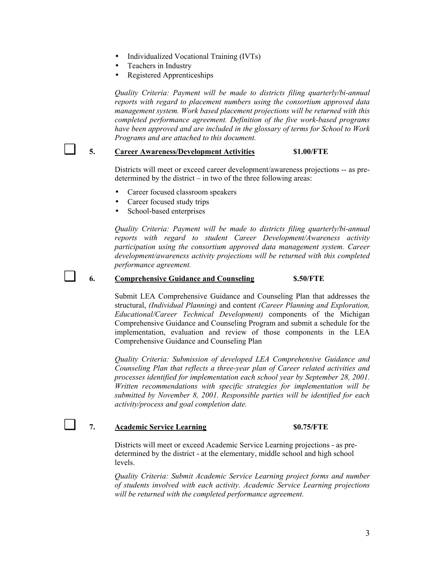- Individualized Vocational Training (IVTs)
- Teachers in Industry
- Registered Apprenticeships

*Quality Criteria: Payment will be made to districts filing quarterly/bi-annual reports with regard to placement numbers using the consortium approved data management system. Work based placement projections will be returned with this completed performance agreement. Definition of the five work-based programs have been approved and are included in the glossary of terms for School to Work Programs and are attached to this document.* 

### 5. **Career Awareness/Development Activities** \$1.00/FTE

Districts will meet or exceed career development/awareness projections -- as predetermined by the district – in two of the three following areas:

- Career focused classroom speakers
- Career focused study trips
- School-based enterprises

*Quality Criteria: Payment will be made to districts filing quarterly/bi-annual reports with regard to student Career Development/Awareness activity participation using the consortium approved data management system. Career development/awareness activity projections will be returned with this completed performance agreement.* 

#### ❑ **6. Comprehensive Guidance and Counseling \$.50/FTE**

Submit LEA Comprehensive Guidance and Counseling Plan that addresses the structural, *(Individual Planning)* and content *(Career Planning and Exploration, Educational/Career Technical Development)* components of the Michigan Comprehensive Guidance and Counseling Program and submit a schedule for the implementation, evaluation and review of those components in the LEA Comprehensive Guidance and Counseling Plan

*Quality Criteria: Submission of developed LEA Comprehensive Guidance and Counseling Plan that reflects a three-year plan of Career related activities and processes identified for implementation each school year by September 28, 2001. Written recommendations with specific strategies for implementation will be submitted by November 8, 2001. Responsible parties will be identified for each activity/process and goal completion date.* 

#### ❑ **7. Academic Service Learning \$0.75/FTE**

Districts will meet or exceed Academic Service Learning projections - as predetermined by the district - at the elementary, middle school and high school levels.

*Quality Criteria: Submit Academic Service Learning project forms and number of students involved with each activity. Academic Service Learning projections will be returned with the completed performance agreement.*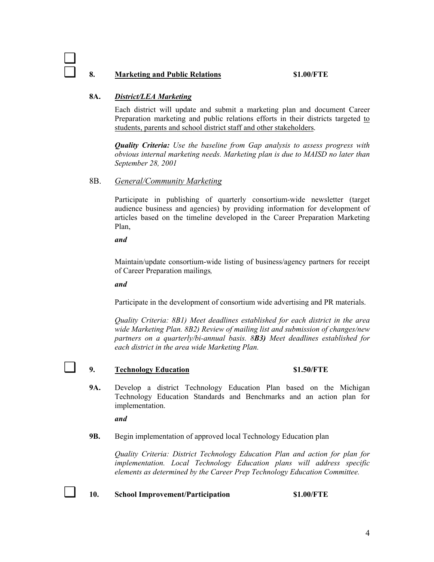### 8. Marketing and Public Relations \$1.00/FTE

#### **8A.** *District/LEA Marketing*

Each district will update and submit a marketing plan and document Career Preparation marketing and public relations efforts in their districts targeted to students, parents and school district staff and other stakeholders.

*Quality Criteria: Use the baseline from Gap analysis to assess progress with obvious internal marketing needs. Marketing plan is due to MAISD no later than September 28, 2001*

# 8B. *General/Community Marketing*

Participate in publishing of quarterly consortium-wide newsletter (target audience business and agencies) by providing information for development of articles based on the timeline developed in the Career Preparation Marketing Plan,

*and* 

Maintain/update consortium-wide listing of business/agency partners for receipt of Career Preparation mailings*,* 

*and* 

Participate in the development of consortium wide advertising and PR materials.

*Quality Criteria: 8B1) Meet deadlines established for each district in the area wide Marketing Plan. 8B2) Review of mailing list and submission of changes/new partners on a quarterly/bi-annual basis. 8B3) Meet deadlines established for each district in the area wide Marketing Plan.* 

❑

# ❑ **9. Technology Education \$1.50/FTE**

**9A.** Develop a district Technology Education Plan based on the Michigan Technology Education Standards and Benchmarks and an action plan for implementation.

*and*

**9B.** Begin implementation of approved local Technology Education plan

*Quality Criteria: District Technology Education Plan and action for plan for implementation. Local Technology Education plans will address specific elements as determined by the Career Prep Technology Education Committee.* 

❑ **10. School Improvement/Participation \$1.00/FTE**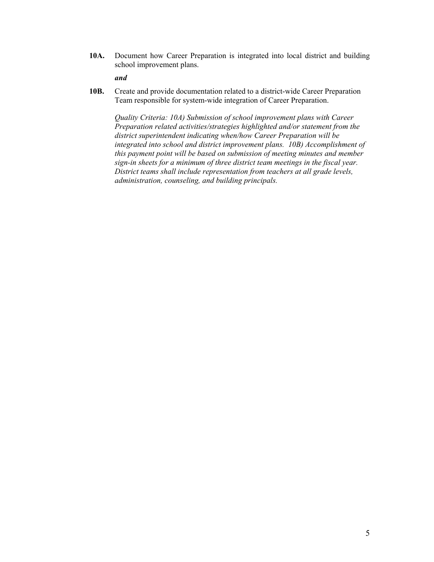**10A.** Document how Career Preparation is integrated into local district and building school improvement plans.

#### *and*

**10B.** Create and provide documentation related to a district-wide Career Preparation Team responsible for system-wide integration of Career Preparation.

*Quality Criteria: 10A) Submission of school improvement plans with Career Preparation related activities/strategies highlighted and/or statement from the district superintendent indicating when/how Career Preparation will be integrated into school and district improvement plans. 10B) Accomplishment of this payment point will be based on submission of meeting minutes and member sign-in sheets for a minimum of three district team meetings in the fiscal year. District teams shall include representation from teachers at all grade levels, administration, counseling, and building principals.*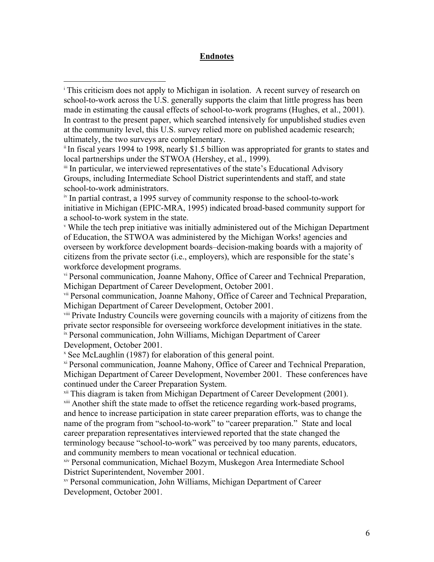# **Endnotes**

1

<sup>i</sup> This criticism does not apply to Michigan in isolation. A recent survey of research on school-to-work across the U.S. generally supports the claim that little progress has been made in estimating the causal effects of school-to-work programs (Hughes, et al., 2001). In contrast to the present paper, which searched intensively for unpublished studies even at the community level, this U.S. survey relied more on published academic research; ultimately, the two surveys are complementary.<br>ii In fiscal years 1994 to 1998, nearly \$1.5 billion was appropriated for grants to states and

local partnerships under the STWOA (Hershey, et al., 1999).<br>iii In particular, we interviewed representatives of the state's Educational Advisory

Groups, including Intermediate School District superintendents and staff, and state school-to-work administrators.

iv In partial contrast, a 1995 survey of community response to the school-to-work initiative in Michigan (EPIC-MRA, 1995) indicated broad-based community support for a school-to-work system in the state.<br>V While the tech prep initiative was initially administered out of the Michigan Department

of Education, the STWOA was administered by the Michigan Works! agencies and overseen by workforce development boards–decision-making boards with a majority of citizens from the private sector (i.e., employers), which are responsible for the state's workforce development programs.

vi Personal communication, Joanne Mahony, Office of Career and Technical Preparation, Michigan Department of Career Development, October 2001.

vii Personal communication, Joanne Mahony, Office of Career and Technical Preparation, Michigan Department of Career Development, October 2001.

viii Private Industry Councils were governing councils with a majority of citizens from the private sector responsible for overseeing workforce development initiatives in the state. ix Personal communication, John Williams, Michigan Department of Career Development, October 2001.

<sup>x</sup> See McLaughlin (1987) for elaboration of this general point.

xi Personal communication, Joanne Mahony, Office of Career and Technical Preparation, Michigan Department of Career Development, November 2001. These conferences have continued under the Career Preparation System.

<sup>xii</sup> This diagram is taken from Michigan Department of Career Development (2001).<br><sup>xiii</sup> Another shift the state made to offset the reticence regarding work-based programs, and hence to increase participation in state career preparation efforts, was to change the name of the program from "school-to-work" to "career preparation." State and local career preparation representatives interviewed reported that the state changed the terminology because "school-to-work" was perceived by too many parents, educators, and community members to mean vocational or technical education.

xiv Personal communication, Michael Bozym, Muskegon Area Intermediate School District Superintendent, November 2001.

xv Personal communication, John Williams, Michigan Department of Career Development, October 2001.